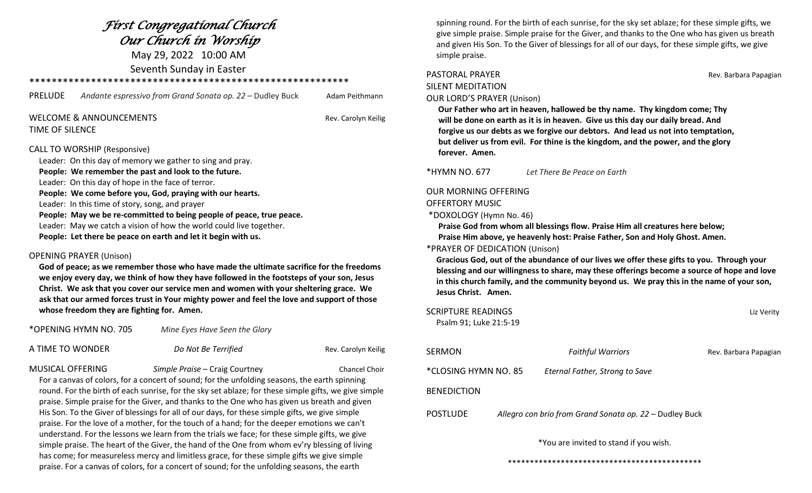## *First Congregational Church Our Church in Worship* May 29, 2022 10:00 AM

Seventh Sunday in Easter

\*\*\*\*\*\*\*\*\*\*\*\*\*\*\*\*\*\*\*\*\*\*\*\*\*\*\*\*\*\*\*\*\*\*\*\*\*\*\*\*\*\*\*\*\*\*\*\*\*\*\*\*\*\*\*\*\*

| PRELUDE | Andante espressivo from Grand Sonata op. 22 – Dudley Buck | Adam Peithmann |
|---------|-----------------------------------------------------------|----------------|
|         |                                                           |                |

#### WELCOME & ANNOUNCEMENTS **Rev. Carolyn Keilig** TIME OF SILENCE

#### CALL TO WORSHIP (Responsive)

 Leader: On this day of memory we gather to sing and pray. **People: We remember the past and look to the future.**  Leader: On this day of hope in the face of terror. **People: We come before you, God, praying with our hearts.** Leader: In this time of story, song, and prayer **People: May we be re-committed to being people of peace, true peace.** Leader: May we catch a vision of how the world could live together. **People: Let there be peace on earth and let it begin with us.**

#### OPENING PRAYER (Unison)

 **God of peace; as we remember those who have made the ultimate sacrifice for the freedoms we enjoy every day, we think of how they have followed in the footsteps of your son, Jesus Christ. We ask that you cover our service men and women with your sheltering grace. We ask that our armed forces trust in Your mighty power and feel the love and support of those whose freedom they are fighting for. Amen.**

\*OPENING HYMN NO. 705 *Mine Eyes Have Seen the Glory*

| A TIME TO WONDER | Do Not Be Terrified<br>Rev. Carolyn Keilig |
|------------------|--------------------------------------------|
|------------------|--------------------------------------------|

MUSICAL OFFERING *Simple Praise* – Craig Courtney Chancel Choir

 For a canvas of colors, for a concert of sound; for the unfolding seasons, the earth spinning round. For the birth of each sunrise, for the sky set ablaze; for these simple gifts, we give simple praise. Simple praise for the Giver, and thanks to the One who has given us breath and given His Son. To the Giver of blessings for all of our days, for these simple gifts, we give simple praise. For the love of a mother, for the touch of a hand; for the deeper emotions we can't understand. For the lessons we learn from the trials we face; for these simple gifts, we give simple praise. The heart of the Giver, the hand of the One from whom ev'ry blessing of living has come; for measureless mercy and limitless grace, for these simple gifts we give simple praise. For a canvas of colors, for a concert of sound; for the unfolding seasons, the earth

 spinning round. For the birth of each sunrise, for the sky set ablaze; for these simple gifts, we give simple praise. Simple praise for the Giver, and thanks to the One who has given us breath and given His Son. To the Giver of blessings for all of our days, for these simple gifts, we give simple praise.

# SILENT MEDITATION

PASTORAL PRAYER **Rev. Barbara Papagian** 

### OUR LORD'S PRAYER (Unison)

 **Our Father who art in heaven, hallowed be thy name. Thy kingdom come; Thy will be done on earth as it is in heaven. Give us this day our daily bread. And forgive us our debts as we forgive our debtors. And lead us not into temptation, but deliver us from evil. For thine is the kingdom, and the power, and the glory forever. Amen.**

\*HYMN NO. 677 *Let There Be Peace on Earth*

#### OUR MORNING OFFERING

#### OFFERTORY MUSIC

\*DOXOLOGY (Hymn No. 46)

**Praise God from whom all blessings flow. Praise Him all creatures here below;** 

 **Praise Him above, ye heavenly host: Praise Father, Son and Holy Ghost. Amen.** 

#### \*PRAYER OF DEDICATION (Unison)

 **Gracious God, out of the abundance of our lives we offer these gifts to you. Through your blessing and our willingness to share, may these offerings become a source of hope and love in this church family, and the community beyond us. We pray this in the name of your son, Jesus Christ. Amen.** 

SCRIPTURE READINGS **SCRIPTURE READINGS** Psalm 91; Luke 21:5-19

| SERMON               | <b>Faithful Warriors</b>                                | Rev. Barbara Papagian |
|----------------------|---------------------------------------------------------|-----------------------|
| *CLOSING HYMN NO. 85 | Eternal Father, Strong to Save                          |                       |
| <b>BENEDICTION</b>   |                                                         |                       |
| POSTLUDE             | Allegro con brio from Grand Sonata op. 22 – Dudley Buck |                       |

\*You are invited to stand if you wish.

\*\*\*\*\*\*\*\*\*\*\*\*\*\*\*\*\*\*\*\*\*\*\*\*\*\*\*\*\*\*\*\*\*\*\*\*\*\*\*\*\*\*\*\*